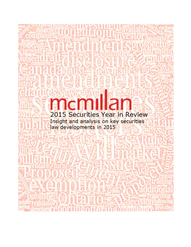# ndn 2015 Securities Year in Review Insight and analysis on key securities<br>law developments in 2015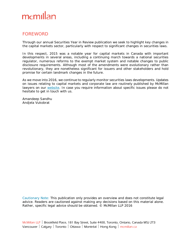### FOREWORD

Through our annual *Securities Year in Review* publication we seek to highlight key changes in the capital markets sector, particularly with respect to significant changes in securities laws.

In this respect, 2015 was a notable year for capital markets in Canada with important developments in several areas, including a continuing march towards a national securities regulator, numerous reforms to the exempt market system and notable changes to public disclosure requirements. Although most of the amendments were evolutionary rather than revolutionary, they are nonetheless significant for issuers and other stakeholders and hold promise for certain landmark changes in the future.

As we move into 2016, we continue to regularly monitor securities laws developments. Updates on issues relating to capital markets and corporate law are routinely published by McMillan lawyers on our [website.](http://www.mcmillan.ca/publications.aspx) In case you require information about specific issues please do not hesitate to get in touch with us.

Amandeep Sandhu Andjela Vukobrat

Cautionary Note: This publication only provides an overview and does not constitute legal advice. Readers are cautioned against making any decisions based on this material alone. Rather, specific legal advice should be obtained. © McMillan LLP 2016

McMillan LLP | Brookfield Place, 181 Bay Street, Suite 4400, Toronto, Ontario, Canada M5J 2T3 Vancouver | Calgary | Toronto | Ottawa | Montréal | Hong Kong | mcmillan.ca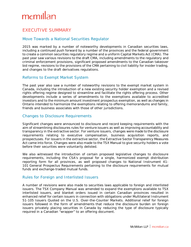## EXECUTIVE SUMMARY

### Move Towards a National Securities Regulator

2015 was marked by a number of noteworthy developments in Canadian securities laws, including a continued push forward by a number of the provinces and the federal government to create a common securities regulatory regime and a uniform Capital Markets Act (CMA). The past year saw various revisions to the draft CMA, including amendments to the regulatory and criminal enforcement provisions, significant proposed amendments to the Canadian takeover bid regime, revisions to the provisions of the CMA pertaining to civil liability for insider trading, and changes to the draft derivatives regulations.

### Reforms to Exempt Market System

The past year also saw a number of noteworthy revisions to the exempt market system in Canada, including the introduction of a new existing security holder exemption and a revised rights offering regime designed to streamline and facilitate the rights offering process. Other developments include a series of amendments to the exemptions available to accredited investors and to the minimum amount investment prospectus exemption, as well as changes in Ontario intended to harmonize the exemptions relating to offering memorandums and family, friends and business associates with those of other jurisdictions.

### Changes to Disclosure Requirements

Significant changes were announced to disclosure and record keeping requirements with the aim of streamlining disclosures rules for venture issuers as well as improving accountability and transparency in the extractive sector. For venture issuers, changes were made to the disclosure requirements relating to executive compensation, business acquisition reports, and prospectuses. For issuers in the extractive sector, the *Extractive Sector Transparency Measures Act* came into force. Changes were also made to the TSX Manual to give security holders a vote before their securities were voluntarily delisted.

We also witnessed the introduction of certain proposed legislative changes to disclosure requirements, including the CSA's proposal for a single, harmonized exempt distribution reporting form for all provinces, as well proposed changes to National Instrument 41- 101 *General Prospectus Requirements* pertaining to the disclosure requirements for mutual funds and exchange-traded mutual funds.

#### Rules for Foreign and Interlisted Issuers

A number of revisions were also made to securities laws applicable to foreign and interlisted issuers. The TSX Company Manual was amended to expand the exemptions available to TSX interlisted issuers, and blanket orders issued in certain Canadian provinces resulted in enhanced relief for certain issuers in connection with obligations under Multilateral Instrument 51-105 *Issuers Quoted on the U.S. Over-the-Counter Markets*. Additional relief for foreign issuers followed in the form of amendments that reduce the disclosure burden on foreign issuers privately placing securities in Canada by reducing the type of disclosure typically required in a Canadian "wrapper" to an offering document.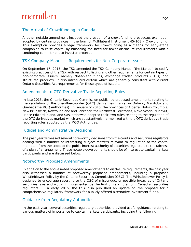### The Arrival of Crowdfunding in Canada

Another notable amendment included the creation of a crowdfunding prospectus exemption adopted by certain provinces in the form of Multilateral Instrument 45-108 – *Crowdfunding*. This exemption provides a legal framework for crowdfunding as a means for early-stage companies to raise capital by balancing the need for fewer disclosure requirements with a continuing commitment to investor protection.

### TSX Company Manual – Requirements for Non-Corporate Issues

On September 17, 2015, the TSX amended the TSX Company Manual (the Manual) to codify existing practices of the TSX with respect to listing and other requirements for certain types of non-corporate issuers, namely closed-end funds, exchange traded products (ETPs) and structured products. It also introduced certain which are generally consistent with current Ontario Securities Act requirements for these types of issuers.

### Amendments to OTC Derivative Trade Reporting Rules

In late 2015, the Ontario Securities Commission published proposed amendments relating to the regulation of the over-the-counter (OTC) derivatives market in Ontario, Manitoba and Quebec (the MOQ Authorities). In January of 2016, the provinces of Alberta, British Columbia, New Brunswick, Newfoundland and Labrador, the Northwest Territories, Nova Scotia, Nunavut, Prince Edward Island, and Saskatchewan adopted their own rules relating to the regulation of the OTC derivatives market which are substantively harmonized with the OTC derivative trade reporting rules adopted by the MOQ Authorities.

### Judicial and Administrative Decisions

The past year witnessed several noteworthy decisions from the courts and securities regulators dealing with a number of interesting subject matters relevant to regulation of the capital markets - from the scope of the public interest authority of securities regulators to the fairness of a plan of arrangement. These notable developments should be of interest to capital markets participants and are discussed below.

#### Noteworthy Proposed Amendments

In addition to the above noted proposed amendments to disclosure requirements, the past year also witnessed a number of noteworthy proposed amendments, including a proposed Whistleblower Policy by the Ontario Securities Commission (OSC). The Whistleblower Policy is designed to encourage reporting to the OSC of misconduct or possible breaches of Ontario securities laws and would if implemented be the first of its kind among Canadian securities regulators. In early 2015, the CSA also published an update on the proposal for a comprehensive regulatory framework for publicly offered alternative investment funds.

### Guidance from Regulatory Authorities

In the past year, several securities regulatory authorities provided useful guidance relating to various matters of importance to capital markets participants, including the following: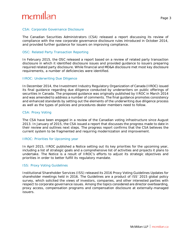# mcmill

#### *CSA: Corporate Governance Disclosure*

The Canadian Securities Administrators (CSA) released a report discussing its review of compliance with the new corporate governance disclosure rules introduced in October 2014, and provided further guidance for issuers on improving compliance.

#### *OSC: Related Party Transaction Reporting*

In February 2015, the OSC released a report based on a review of related party transaction disclosure in which it identified disclosure issues and provided guidance to issuers preparing required related party disclosure. While financial and MD&A disclosure met most key disclosure requirements, a number of deficiencies were identified.

#### *IIROC: Underwriting Due Diligence*

In December 2014, the Investment Industry Regulatory Organization of Canada (IIROC) issued its final guidance regarding due diligence conducted by underwriters on public offerings of securities in Canada. The proposed guidance was originally published by IIROC in March 2014 and was amended to address a number of comments. The final guidance promotes consistency and enhanced standards by setting out the elements of the underwriting due diligence process as well as the types of policies and procedures dealer members need to follow.

#### *CSA: Proxy Voting*

The CSA have been engaged in a review of the Canadian voting infrastructure since August 2013. In January of 2015, the CSA issued a report that discusses the progress made to date in their review and outlines next steps. The progress report confirms that the CSA believes the current system to be fragmented and requiring modernization and improvement.

#### *IIROC: Priorities for Upcoming year*

In April 2015, IIROC published a Notice setting out its key priorities for the upcoming year, including a list of strategic goals and a comprehensive list of activities and projects it plans to undertake. The Notice is a result of IIROC's efforts to adjust its strategic objectives and priorities in order to better fulfill its regulatory mandate.

#### *ISS: Proxy Voting Guidelines*

Institutional Shareholder Services (ISS) released its 2016 Proxy Voting Guidelines Updates for shareholder meetings held in 2016. The Guidelines are a product of ISS' 2015 global policy survey, which solicited the views of investors, companies, and other interested parties with respect to corporate governance issues. Among the topics considered are director overboarding, proxy access, compensation programs and compensation disclosure at externally-managed issuers.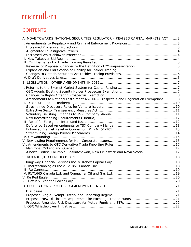## **CONTENTS**

| Amendments to National Instrument 45-106 - Prospectus and Registration Exemptions8<br>Alberta, British Columbia, Saskatchewan, New Brunswick and Nova Scotia  17 | A. MOVE TOWARDS NATIONAL SECURITIES REGULATOR - REVISED CAPITAL MARKETS ACT3 |  |
|------------------------------------------------------------------------------------------------------------------------------------------------------------------|------------------------------------------------------------------------------|--|
|                                                                                                                                                                  |                                                                              |  |
|                                                                                                                                                                  |                                                                              |  |
|                                                                                                                                                                  |                                                                              |  |
|                                                                                                                                                                  |                                                                              |  |
|                                                                                                                                                                  |                                                                              |  |
|                                                                                                                                                                  |                                                                              |  |
|                                                                                                                                                                  |                                                                              |  |
|                                                                                                                                                                  |                                                                              |  |
|                                                                                                                                                                  |                                                                              |  |
|                                                                                                                                                                  |                                                                              |  |
|                                                                                                                                                                  |                                                                              |  |
|                                                                                                                                                                  |                                                                              |  |
|                                                                                                                                                                  |                                                                              |  |
|                                                                                                                                                                  |                                                                              |  |
|                                                                                                                                                                  |                                                                              |  |
|                                                                                                                                                                  |                                                                              |  |
|                                                                                                                                                                  |                                                                              |  |
|                                                                                                                                                                  |                                                                              |  |
|                                                                                                                                                                  |                                                                              |  |
|                                                                                                                                                                  |                                                                              |  |
|                                                                                                                                                                  |                                                                              |  |
|                                                                                                                                                                  |                                                                              |  |
|                                                                                                                                                                  |                                                                              |  |
|                                                                                                                                                                  |                                                                              |  |
|                                                                                                                                                                  |                                                                              |  |
|                                                                                                                                                                  |                                                                              |  |
|                                                                                                                                                                  |                                                                              |  |
|                                                                                                                                                                  |                                                                              |  |
|                                                                                                                                                                  |                                                                              |  |
|                                                                                                                                                                  |                                                                              |  |
|                                                                                                                                                                  |                                                                              |  |
|                                                                                                                                                                  |                                                                              |  |
|                                                                                                                                                                  |                                                                              |  |
|                                                                                                                                                                  |                                                                              |  |
|                                                                                                                                                                  |                                                                              |  |
|                                                                                                                                                                  |                                                                              |  |
|                                                                                                                                                                  |                                                                              |  |
|                                                                                                                                                                  |                                                                              |  |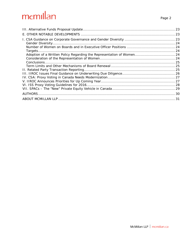| Adoption of a Written Policy Regarding the Representation of Women 24 |  |
|-----------------------------------------------------------------------|--|
|                                                                       |  |
|                                                                       |  |
|                                                                       |  |
|                                                                       |  |
|                                                                       |  |
|                                                                       |  |
|                                                                       |  |
|                                                                       |  |
|                                                                       |  |
|                                                                       |  |
|                                                                       |  |
|                                                                       |  |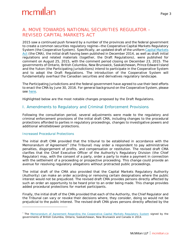## <span id="page-7-0"></span>A. MOVE TOWARDS NATIONAL SECURITIES REGULATOR – REVISED CAPITAL MARKETS ACT

2015 saw a continued push forward by a number of the provinces and the federal government to create a common securities regulatory regime—the Cooperative Capital Markets Regulatory System (the Cooperative System). Specifically, an updated draft of the uniform *[Capital Markets](http://ccmr-ocrmc.ca/publications/legislation/)  [Act](http://ccmr-ocrmc.ca/publications/legislation/)* (the CMA), the initial draft having been published in December 2014, as well as draft initial regulations and related materials (together, the Draft Regulations), were published for comment on August 25, 2015, with the comment period closing on December 23, 2015. The governments of Ontario, British Columbia, New Brunswick, Saskatchewan, Prince Edward Island and the Yukon (the Participating Jurisdictions) intend to participate in the Cooperative System and to adopt the Draft Regulations. The introduction of the Cooperative System will fundamentally overhaul the Canadian securities and derivatives regulatory landscape.

The Participating Jurisdictions and the federal government have agreed to use their best efforts to enact the CMA by June 30, 2016. For general background on the Cooperative System, please see [here.](http://ccmr-ocrmc.ca/about/)

Highlighted below are the most notable changes proposed by the Draft Regulations.

### <span id="page-7-1"></span>I. Amendments to Regulatory and Criminal Enforcement Provisions

Following the consultation period, several adjustments were made to the regulatory and criminal enforcement provisions of the initial draft CMA, including changes to the procedural protections afforded to parties in regulatory proceedings, changes to investigative powers and additional whistleblower protections.

#### <span id="page-7-2"></span>*Increased Procedural Protections*

l

The initial draft CMA provided that the tribunal to be established in accordance with the Memorandum of Agreement<sup>[1](#page-7-3)</sup> (the Tribunal) may order a respondent to pay administrative penalties, disgorgement of profits, and compensation or restitution. The revised draft CMA clarifies that the Chief Executive Officer of the Authority's Regulatory Division (the Chief Regulator) may, with the consent of a party, order a party to make a payment in connection with the settlement of a proceeding or prospective proceeding. This change could provide an avenue for resolving regulatory allegations without protracted public proceedings.

The initial draft of the CMA also provided that the Capital Markets Regulatory Authority (Authority) can make an order according or removing certain designations where the public interest would not be prejudiced. The revised draft CMA provides persons directly affected by such an order an opportunity to be heard prior to an order being made. This change provides added procedural protections for market participants.

Finally, the initial draft of the CMA provided that each of the Authority, the Chief Regulator and the Tribunal can vary or revoke their decisions where, they consider, doing so would not be prejudicial to the public interest. The revised draft CMA gives persons directly affected by the

<span id="page-7-3"></span><sup>&</sup>lt;sup>1</sup> The [Memorandum of Agreement Regarding the Cooperative Capital Markets Regulatory System](http://www.fin.gc.ca/n14/docs/moa-pda-eng.pdf) signed by the governments of British Columbia, Ontario, Saskatchewan, New Brunswick and Canada in 2014.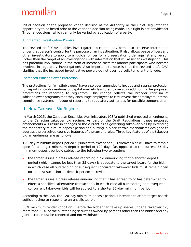initial decision or the proposed varied decision of the Authority or the Chief Regulator the opportunity to be heard prior to the variation decision being made. This right is not provided for Tribunal decisions, which can only be varied by application of a party.

#### <span id="page-8-0"></span>*Augmented Investigative Powers*

The revised draft CMA enables investigators to compel any person to preserve information under that person's control for the purpose of an investigation. It also allows peace officers and other investigators to apply to a judicial officer for a preservation order against any person (other than the target of an investigation) with information that will assist an investigation. This has potential implications in the form of increased costs for market participants who become involved in regulatory investigations. Also important to note is that the revised draft CMA clarifies that the increased investigative powers do not override solicitor-client privilege.

#### <span id="page-8-1"></span>*Increased Whistleblower Protection*

The protections for "whistleblowers" have also been amended to include anti-reprisal protection for reporting contraventions of capital markets law to employers, in addition to the proposed protections for reporting to regulators. This change reflects the broader criticism of whistleblower programs that they encourage employees to circumvent their employers' internal compliance systems in favour of reporting to regulatory authorities for possible compensation.

#### <span id="page-8-2"></span>II. New Takeover Bid Regime

In March 2015, the Canadian Securities Administrators (CSA) published proposed amendments to the Canadian takeover bid regime. As part of the Draft Regulations, these proposed amendments will result in changes to the current rules governing takeover bids by extending the mandatory minimum deposit period and putting in place certain mechanisms designed to address the perceived coercive features of the current rules. Three key features of the takeover bid amendments are as follows:

*120-day minimum deposit period \* (subject to exceptions.)* Takeover bids will have to remain open for a longer minimum deposit period of 120 days (as opposed to the current 35-day minimum deposit period), subject to the following two exceptions:

- the target issues a press release regarding a bid announcing that a shorter deposit period (which cannot be less than 35 days) is adequate to the target board for the bid, in which case all outstanding or subsequent concurrent take-over bids must remain open for at least such shorter deposit period; or revise
- the target issues a press release announcing that it has agreed to or has determined to effect a specified "alternative transaction", in which case all outstanding or subsequent concurrent take-over bids will be subject to a shorter 35-day minimum period.

According to the CSA, the 120-day minimum deposit period is intended to afford target boards sufficient time to respond to an unsolicited bid.

*50% minimum tender condition.* Before the bidder can take up shares under a takeover bid, more than 50% of the outstanding securities owned by persons other than the bidder and any joint actors must be tendered and not withdrawn.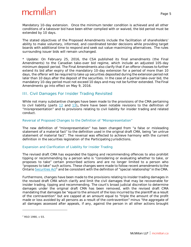*Mandatory 10-day extension.* Once the minimum tender condition is achieved and all other conditions of a takeover bid have been either complied with or waived, the bid period must be extended by 10 days.

The stated objectives of the Proposed Amendments include the facilitation of shareholders' ability to make voluntary, informed, and coordinated tender decisions while providing target boards with additional time to respond and seek out value-maximizing alternatives. The rules surrounding issuer bids will remain unchanged.

\* Update: On February 25, 2016, the CSA published its final amendments (the Final Amendments) to the Canadian take-over bid regime, which include an adjusted 105-day minimum deposit period. The Final Amendments also clarify that if an offeror chooses to further extend its bid after expiry of the mandatory 10-day extension for a period of more than 10 days, the offeror will be required to take up securities deposited during the extension period not later than 10 days after the deposit of the securities. In the case of a partial take-over bid, the mandatory 10-day period must not exceed 10 days and may not be further extended. The Final Amendments go into effect on May 9, 2016.

### <span id="page-9-0"></span>III. Civil Damages For Insider Trading Revisited

While not many substantive changes have been made to the provisions of the CMA pertaining to civil liability (parts [12](http://ccmr-ocrmc.ca/wp-content/uploads/CMA-Consultation-Draft-English-August-2015.pdf) and [13\)](http://ccmr-ocrmc.ca/wp-content/uploads/CMA-Consultation-Draft-English-August-2015.pdf)**,** there have been notable revisions to the definition of "misrepresentation" and to provisions relating to civil liability for insider trading and related conduct.

#### <span id="page-9-1"></span>*Reversal of Proposed Changes to the Definition of "Misrepresentation"*

The new definition of "misrepresentation" has been changed from "a false or misleading statement of a material fact" to the definition used in the original draft CMA, being "an untrue statement of material fact". The reversal was effected to achieve harmony with the current definition in the securities legislation of the Participating Jurisdictions.

#### <span id="page-9-2"></span>*Expansion and Clarification of Liability for Insider Trading*

The revised draft CMA has expanded the tipping and recommending offences to also prohibit tipping or recommending by a person who is "considering or evaluating whether to take, or proposes to take" certain prescribed actions and are no longer limited to a person who "proposes to take" such actions. These changes were made to follow recent amendments to the Ontario *[Securities Act](https://www.ontario.ca/laws/statute/90s05)<sup>[2](#page-9-3)</sup>* and be consistent with the definition of "special relationship" in the CMA.

Furthermore, changes have been made to the provisions relating to insider trading damages in the revised draft CMA which clarify and limit the civil damages that may be recoverable for insider trading, tipping and recommending. The court's broad judicial discretion to determine damages under the original draft CMA has been removed, with the revised draft CMA mandating that damages be "equal to the amount of the loss incurred by the plaintiff as a result of the contravention" but are capped at an amount equal to "triple the amount of the profit made or loss avoided by all persons as a result of the contravention" minus "the aggregate of all damages assessed after appeals, if any, against the person in all other actions brought

<span id="page-9-3"></span><sup>&</sup>lt;sup>2</sup> RSO 1990, c S5.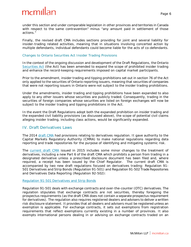under this section and under comparable legislation in other provinces and territories in Canada with respect to the same contravention" minus "any amount paid in settlement of those actions."

Finally, the revised draft CMA includes sections providing for joint and several liability for insider-trading related activities, meaning that in situations involving concerted action by multiple defendants, individual defendants could become liable for the acts of co-defendants.

#### <span id="page-10-0"></span>*Changes to Ontario Securities Act Insider Trading Provisions*

In the context of the ongoing discussion and development of the Draft Regulations, the Ontario *[Securities Act](https://www.ontario.ca/laws/statute/90s05)* (the Act) has been amended to expand the scope of prohibited insider trading and enhance the record-keeping requirements imposed on capital market participants.

Prior to the amendment, insider trading and tipping prohibitions set out in section 76 of the Act only applied to the securities of Ontario reporting issuers, meaning that securities of companies that were not reporting issuers in Ontario were not subject to the insider trading prohibitions.

Under the amendments, insider trading and tipping prohibitions have been expanded to also apply to any other issuers whose securities are publicly traded. Consequently, trading in the securities of foreign companies whose securities are listed on foreign exchanges will now be subject to the insider trading and tipping prohibitions in the Act.

In the event the Draft Regulations adopt both the expanded prohibition on insider trading and the expanded civil liability provisions (as discussed above), the scope of potential civil claims alleging insider trading, including class actions, would be significantly expanded.

#### <span id="page-10-1"></span>IV. Draft Derivatives Laws

The 2014 [draft CMA](http://ccmr-ocrmc.ca/wp-content/uploads/CMSA-English-revised.pdf) had provisions relating to derivatives regulation. It gave authority to the Capital Markets Regulatory Authority (CMRA) to make national regulations regarding data reporting and trade repositories for the purpose of identifying and mitigating systemic risk.

The [current draft CMA](http://ccmr-ocrmc.ca/wp-content/uploads/CMA-Consultation-Draft-English-August-2015.pdf) issued in 2015 includes some minor changes to the treatment of derivatives, including a new Part 6 of the draft CMA which prohibits a person from trading in a designated derivative unless a prescribed disclosure document has been filed and, where required, a receipt has been issued by the Chief Regulator. The current draft CMA is accompanied by two new draft regulations focused on derivatives trading: Regulation 91- 501 *Derivatives and Strip Bonds* (Regulation 91-501) and Regulation 91-502 *Trade Repositories and Derivatives Data Reporting* (Regulation 92-502):

#### Regulation 91-501 *[Derivatives and Strip Bonds](http://ccmr-ocrmc.ca/wp-content/uploads/91-501_reg_en.pdf)*

Regulation 91-501 deals with exchange contracts and over-the-counter (OTC) derivatives. The regulation stipulates that exchange contracts are not securities, thereby foregoing the prospectus requirements (as the draft CMA does not contain a separate prospectus requirement for derivatives). The regulation also requires registered dealers and advisers to deliver a written risk disclosure statement. It provides that all dealers and advisers must be registered unless an exemption is applicable. For exchange contracts, it sets out exemptions from registration requirements that reflect exemptions currently existing in a number of provinces. It also exempts international persons dealing in or advising on exchange contracts traded on an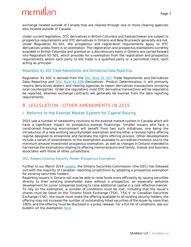exchange located outside of Canada that are cleared through one or more clearing agencies also located outside of Canada.

Under current legislation, OTC derivatives in British Columbia and Saskatchewan are subject to prospectus requirements and OTC derivatives in Ontario and New Brunswick generally are not. Under Regulation 91-501, the prospectus and registration requirements apply to OTC derivatives unless there is an exemption. The registration and prospectus exemptions currently available in British Columbia and granted on a discretionary basis in Ontario are carried forward into Regulation 91-501, which provides for a exemption from the registration and prospectus requirements where each party to the trade is a qualified party or a permitted client, each acting as principal.

#### Regulation 91-502 *[Trade Repositories and Derivatives Data Reporting](http://ccmr-ocrmc.ca/wp-content/uploads/91-502_reg_en.pdf)*

Regulation 91-502 is derived from the [OSC Rule 91-507](http://www.osc.gov.on.ca/en/SecuritiesLaw_91-507.htm) *Trade Repositories and Derivatives Data Reporting* and [OSC Rule 91-506](http://www.osc.gov.on.ca/documents/en/Securities-Category9/rule_20150727_91-506_unofficial-consolidation-derivatives.pdf) *Derivatives: Product Determination*. It will primarily require derivatives dealers and clearing agencies to report derivatives transactions involving local counterparties. Under the regulations most OTC derivative transactions will be required to be reported, whereas exchange contracts will generally be exempt from the data reporting requirements.

### <span id="page-11-0"></span>B. LEGISLATION –OTHER AMENDMENTS IN 2015

### <span id="page-11-1"></span>I. Reforms to the Exempt Market System for Capital Raising

2015 saw a number of noteworthy revisions to the exempt market system in Canada which will have a significant impact on prospectus-exempt financings. Smaller issuers who face a constrained financing environment will benefit from two such initiatives, one being the introduction of a new existing securityholder exemption and the other a revised rights offering regime designed to streamline and facilitate the rights offering process. Other developments include a series of amendments to the exemptions available to accredited investors and to the minimum amount investment prospectus exemption, as well as changes in Ontario intended to harmonize the exemptions relating to offering memorandums and family, friends and business associates with those of other jurisdictions.

#### <span id="page-11-2"></span>*OSC Adopts Existing Security Holder Prospectus Exemption*

Further to our March 2014 [update,](http://www.mcmillan.ca/New-Prospectus-Exemption-for-Canadian-Listed-Issuers-for-Placements-to-Existing-Security-Holders) the Ontario Securities Commission (the OSC) has followed suit with the majority of Canadian reporting jurisdictions by adopting a prospectus exemption for existing securities holders.

Reporting issuers in Ontario will now be able to raise funds more efficiently by issuing securities directly to their existing shareholder base without a prospectus, an especially welcome development for junior companies looking to raise additional capital in a cost-effective manner. To rely on the exemption, a number of conditions must be met, including that the issuer's shares must be listed on the Toronto Stock Exchange (TSX), TSX-V, or Canadian Securities Exchange (CSE), the issuer must make the offering available to all existing security holders, the offering may not increase the number of outstanding listed securities of the issuer by more than 100% and the offering must be disclosed in a press release. For a full list of conditions, see our bulletin on the exemption [here.](http://www.mcmillan.ca/New-Prospectus-Exemption-for-Canadian-Listed-Issuers-for-Placements-to-Existing-Security-Holders)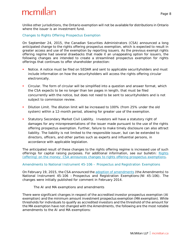Unlike other jurisdictions, the Ontario exemption will not be available for distributions in Ontario where the issuer is an investment fund.

<span id="page-12-0"></span>*Changes to Rights Offering Prospectus Exemption* 

On September 24, 2015, the Canadian Securities Administrators (CSA) announced a long anticipated change to the rights offering prospectus exemption, which is expected to result in greater access and use of the exemption by reporting issuers. As the previous exempt rights offering regime had several drawbacks that made it an unappealing option for issuers, the following changes are intended to create a streamlined prospectus exemption for rights offerings that continues to offer shareholder protection:

- *Notice.* A notice must be filed on SEDAR and sent to applicable securityholders and must include information on how the securityholders will access the rights offering circular electronically.
- *Circular.* The form of circular will be simplified into a question and answer format, which the CSA expects to be no longer than ten pages in length, that must be filed concurrently with the notice, but does not need to be sent to securityholders and is not subject to commission review.
- *Dilution Limit*. The dilution limit will be increased to 100% (from 25% under the old system) within a 12-month period, allowing for greater use of the exemption.
- **Statutory Secondary Market Civil Liability. Investors will have a statutory right of** damages for any misrepresentations of the issuer made pursuant to the use of the rights offering prospectus exemption. Further, failure to make timely disclosure can also attract liability. The liability is not limited to the responsible issuer, but can be extended to directors, officers, and other parties such as experts and influential persons, in accordance with applicable legislation.

The anticipated result of these changes to the rights offering regime is increased use of such offerings for capital raising purposes. For additional information, see our bulletin: [Rights](http://www.mcmillan.ca/Rights-offering-on-the-money-CSA-announces-changes-to-rights-offering-prospectus-exemptions)  [\(offering\) on the money: CSA announces changes to rights offering prospectus exemptions.](http://www.mcmillan.ca/Rights-offering-on-the-money-CSA-announces-changes-to-rights-offering-prospectus-exemptions)

#### <span id="page-12-1"></span>*Amendments to National Instrument 45-106 – Prospectus and Registration Exemptions*

On February 19, 2015, the CSA announced the [adoption of amendments](http://www.osc.gov.on.ca/en/SecuritiesLaw_ni_20150219_45-106_amendments.htm) (the Amendments) to National Instrument 45-106 – *Prospectus and Registration Exemptions* (NI 45-106). The changes were initially published for comment in February 2014.

#### *The AI and MA exemptions and amendments*

There were significant changes in respect of the accredited investor prospectus exemption (AI exemption) and the minimum amount investment prospectus exemption (MA exemption). While thresholds for individuals to qualify as accredited investors and the threshold of the amount for the MA exemption have not changed with the Amendments, the following are the most notable amendments to the AI and MA exemptions: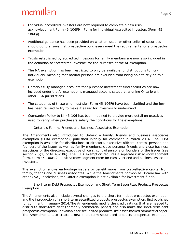- Individual accredited investors are now required to complete a new riskacknowledgment Form 45-106F9 – *Form for Individual Accredited Investors* (Form 45- 106F9).
- Additional guidance has been provided on what an issuer or other seller of securities should do to ensure that prospective purchasers meet the requirements for a prospectus exemption.
- Trusts established by accredited investors for family members are now also included in the definition of "accredited investor" for the purposes of the AI exemption.
- The MA exemption has been restricted to only be available for distributions to nonindividuals, meaning that natural persons are excluded from being able to rely on this exemption.
- Ontario's fully managed accounts that purchase investment fund securities are now included under the AI exemption's managed account category, aligning Ontario with other CSA jurisdictions.
- The categories of those who must sign Form 45-106F9 have been clarified and the form has been revised to try to make it easier for investors to understand.
- Companion Policy to NI 45-106 has been modified to provide more detail on practices used to verify when purchasers satisfy the conditions for the exemptions.

#### *Ontario's Family, Friends and Business Associates Exemption*

The Amendments also introduced to Ontario a family, friends and business associates exemption (FFBA exemption), published initially for comment in March 2014. The FFBA exemption is available for distributions to directors, executive officers, control persons and founders of the issuer as well as family members, close personal friends and close business associates of the directors, executive officers, control persons or founders of the issuer (see section 2.5(1) of NI 45-106). The FFBA exemption requires a separate risk acknowledgment form, Form 45-106F12 – *Risk Acknowledgment Form for Family, Friend and Business Associate Investors*.

The exemption allows early-stage issuers to benefit more from cost-effective capital from family, friends and business associates. While the Amendments harmonize Ontario law with other CSA jurisdictions, the Ontario exemption is not available for investment funds.

#### *Short-term Debt Prospectus Exemption and Short-Term Securitized Products Prospectus Exemption*

The Amendments also include several changes to the short-term debt prospectus exemption and the introduction of a short-term securitized products prospectus exemption, first published for comment in January 2014.The Amendments modify the credit ratings that are needed to distribute short-term debt (primarily commercial paper) and also make the short-term debt prospectus exemption unavailable for securitized products like asset-backed commercial paper. The Amendments also create a new short-term securitized products prospectus exemption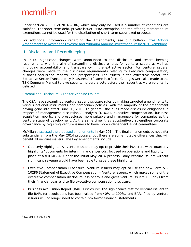under section 2.35.1 of NI 45-106, which may only be used if a number of conditions are satisfied. The short-term debt, private issuer, FFBA exemption and the offering memorandum exemptions cannot be used for the distribution of short-term securitized products.

For additional information regarding the Amendments, see our bulletin: [CSA Adopts](http://www.mcmillan.ca/CSA-Adopts-Amendments-to-Accredited-Investor-and-Minimum-Amount-Investment-Prospectus-ExemptionsbrManaged-Accounts-are-now-Accredited-Investors-for-Investment-Funds-in-Ontario)  [Amendments to Accredited Investor and Minimum Amount Investment Prospectus Exemptions.](http://www.mcmillan.ca/CSA-Adopts-Amendments-to-Accredited-Investor-and-Minimum-Amount-Investment-Prospectus-ExemptionsbrManaged-Accounts-are-now-Accredited-Investors-for-Investment-Funds-in-Ontario)

#### <span id="page-14-0"></span>II. Disclosure and Recordkeeping

In 2015, significant changes were announced to the disclosure and record keeping requirements with the aim of streamlining disclosure rules for venture issuers as well as improving accountability and transparency in the extractive sector. For venture issuers, changes were made to the disclosure requirements relating to executive compensation, business acquisition reports, and prospectuses. For issuers in the extractive sector, the *Extractive Sector Transparency Measures Act*[3](#page-14-2) came into force. Changes were also made to the TSX Company Manual to give security holders a vote before their securities were voluntarily delisted.

#### <span id="page-14-1"></span>*Streamlined Disclosure Rules for Venture Issuers*

The CSA have streamlined venture issuer disclosure rules by making targeted amendments to various national instruments and companion policies, with the majority of the amendment having gone into effect June 30, 2015. In general, the rules made disclosure obligations in respect of management discussion & analysis (MD&A), executive compensation, business acquisition reports, and prospectuses more suitable and manageable for companies at the venture stage of development. At the same time, they substantively strengthen corporate governance by requiring venture issuers to have more independent audit committees.

McMillan [discussed the proposed amendments](http://www.mcmillan.ca/cmillan.ca/Streamlining-Venture-Issuer-Disclosure-Requirements--Overview-Of-New-CSA-Proposal) in May 2014. The final amendments do not differ substantially from the May 2014 proposals, but there are some notable differences that will benefit all venture issuers. The key amendments include:

- *Quarterly Highlights*: All venture issuers may opt to provide their investors with "quarterly highlights" documents for interim financial periods, focused on operations and liquidity, in place of a full MD&A. Under the initial May 2014 proposal, only venture issuers without significant revenue would have been able to issue these highlights.
- *Executive Compensation Disclosure*: Venture issuers may opt to use the new Form 51- 102F6 *Statement of Executive Compensation – Venture Issuers*, which makes some of the executive compensation disclosure less onerous and gives venture issuers 180 days from their financial year-end to file executive compensation disclosure.
- *Business Acquisition Report (BAR) Disclosure*: The significance test for venture issuers to file BARs for acquisitions has been raised from 40% to 100%, and BARs filed by venture issuers will no longer need to contain pro forma financial statements.

<span id="page-14-2"></span><sup>3</sup> SC 2014, c 39, s 376.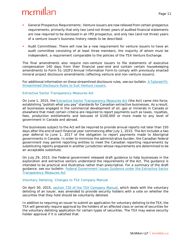- *General Prospectus Requirements:* Venture issuers are now relieved from certain prospectus requirements, primarily that only two (and not three) years of audited financial statements are now required to be disclosed in an IPO prospectus, and only two (and not three) years of a venture issuer's business history needs to be described.
- *Audit Committees*: There will now be a new requirement for venture issuers to have an audit committee consisting of at least three members, the majority of whom must be independent, a requirement comparable to the policies of the TSX Venture Exchange.

The final amendments also require non-venture issuers to file statements of executive compensation 140 days from their financial year-end and contain certain housekeeping amendments to Form 51-102F2 *Annual Information Form* to comply with previously enacted mineral project disclosure amendments (affecting venture and non-venture issuers).

For additional information on these streamlined disclosure rules, see our bulletin: A Tailored Fit: [Streamlined Disclosure Rules to Suit Venture Issuers.](http://www.mcmillan.ca/A-Tailored-Fit-Streamlined-Disclosure-Rules-to-Suit-Venture-Issuers)

#### <span id="page-15-0"></span>*Extractive Sector Transparency Measures Act*

On June 1, 2015, the *[Extractive Sector Transparency Measures Act](http://laws-lois.justice.gc.ca/eng/acts/E-22.7/page-1.html)* (the Act) came into force, establishing "publish what you pay" standards for Canadian extractive businesses. As a result, all businesses engaged in the commercial development of oil, gas or minerals in Canada or elsewhere that meet certain criteria are required to report payments such as taxes, royalties, fees, production entitlements and bonuses of \$100,000 or more made to any level of government in Canada and abroad.

The businesses subject to the Act will be required to provide annual reports not later than 150 days after the end of each financial year commencing after July 1, 2015. The Act includes a two year deferral to June 1, 2017 of the obligation to report payments made to Aboriginal governments in Canada. In order to minimize the administrative burden, the Canadian federal government may permit reporting entities to meet the Canadian reporting requirements by substituting reports prepared in another jurisdiction whose requirements are determined to be an acceptable substitute.

On July 29, 2015, the Federal government released draft guidance to help businesses in the exploration and extractive sectors understand the requirements of the Act. The guidance is intended to be practical and illustrative rather than prescriptive. For a summary of the draft guidance, see our bulletin: [Federal Government Issues Guidance under the Extractive Sector](http://www.mcmillan.ca/Federal-Government-Issues-Guidance-under-the-Extractive-Sector-Transparency-Measures-Act)  [Transparency Measures Act](http://www.mcmillan.ca/Federal-Government-Issues-Guidance-under-the-Extractive-Sector-Transparency-Measures-Act) 

#### <span id="page-15-1"></span>*Voluntary Delisting: Changes to TSX Company Manual*

On April 30, 2015, [section 720 of the TSX Company Manual,](http://tmx.complinet.com/en/display/display_main.html?rbid=2072&element_id=366) which deals with the voluntary delisting of an issuer, was amended to provide security holders with a vote on whether the securities that they hold should be voluntarily delisted.

In addition to requiring an issuer to submit an application for voluntary delisting to the TSX, the TSX will generally require approval by the holders of an affected class or series of securities for the voluntary delisting application for certain types of securities. The TSX may waive security holder approval if it is satisfied that: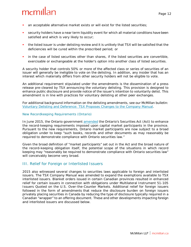- an acceptable alternative market exists or will exist for the listed securities;
- security holders have a near term liquidity event for which all material conditions have been satisfied and which is very likely to occur;
- the listed issuer is under delisting review and it is unlikely that TSX will be satisfied that the deficiencies will be cured within the prescribed period; or
- in the case of listed securities other than shares, if the listed securities are convertible, exercisable or exchangeable at the holder's option into another class of listed securities.

A security holder that controls 50% or more of the affected class or series of securities of an issuer will generally be ineligible to vote on the delisting. In addition, any insider that has an interest which materially differs from other security holders will not be eligible to vote.

An additional requirement stipulated under the amendments is the dissemination of a press release pre-cleared by TSX announcing the voluntary delisting. This provision is designed to enhance public disclosure and provide notice of the issuer's intention to voluntarily delist. This amendment is in line with practices for voluntary delisting at other peer exchanges.

For additional background information on the delisting amendments, see our McMillan bulletin: [Voluntary Delisting and Deference: TSX Proposes Changes to the Company Manual.](http://www.mcmillan.ca/Voluntary-Delisting-and-Deference-TSX-Proposes-Changes-to-the-Company-Manual)

#### <span id="page-16-0"></span>*New Recordkeeping Requirements (Ontario)*

In June 2015, the Ontario government [amended](http://www.ontla.on.ca/bills/bills-files/41_Parliament/Session1/b091ra.pdf) the Ontario's *Securities Act* (Act) to enhance the record-keeping requirements imposed upon capital market participants in the province. Pursuant to the new requirements, Ontario market participants are now subject to a broad obligation under to keep "such books, records and other documents as may reasonably be required to demonstrate compliance with Ontario securities law."

Given the broad definition of "market participants" set out in the Act and the broad nature of the record-keeping obligation itself, the potential scope of the situations in which record keeping may "reasonably be required to demonstrate compliance with Ontario securities law" will conceivably become very broad.

### <span id="page-16-1"></span>III. Relief for Foreign or Interlisted Issuers

2015 also witnessed several changes to securities laws applicable to foreign and interlisted issuers. The TSX Company Manual was amended to expand the exemptions available to TSX interlisted issuers. Blanket orders issued in certain Canadian provinces resulted in enhanced relief for certain issuers in connection with obligations under Multilateral Instrument 51-105 *Issuers Quoted on the U.S. Over-the-Counter Markets*. Additional relief for foreign issuers followed in the form of amendments that reduce the disclosure burden on foreign issuers privately placing securities in Canada by reducing the type of disclosure typically required in a Canadian "wrapper" to an offering document. These and other developments impacting foreign and interlisted issuers are discussed below.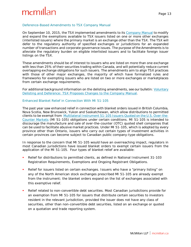#### <span id="page-17-0"></span>*Deference-Based Amendments to TSX Company Manual*

On September 10, 2015, the TSX implemented amendments to its [Company Manual](http://tmx.complinet.com/en/tsx_manual.html) to modify and expand the exemptions available to TSX issuers listed on one or more other exchanges (interlisted issuers) where the primary market is an exchange other than the TSX. The TSX will defer to the regulatory authority of specified exchanges or jurisdictions for an expanded number of transactions and corporate governance issues. The purpose of the Amendments is to alleviate the regulatory burden on eligible interlisted issuers and to facilitate foreign issuer listings on the TSX.

These amendments should be of interest to issuers who are listed on more than one exchange with less than 25% of their securities trading within Canada, and will potentially reduce current overlapping exchange obligations for such issuers. The amendments aim to align TSX practices with those of other major exchanges, the majority of which have formalized rules and frameworks for exempting issuers who are listed on two or more exchanges or marketplaces from certain exchange requirements.

For additional background information on the delisting amendments, see our bulletin[: Voluntary](http://www.mcmillan.ca/Voluntary-Delisting-and-Deference-TSX-Proposes-Changes-to-the-Company-Manual)  Delisting and [Deference: TSX Proposes Changes to the Company Manual.](http://www.mcmillan.ca/Voluntary-Delisting-and-Deference-TSX-Proposes-Changes-to-the-Company-Manual)

#### <span id="page-17-1"></span>*Enhanced Blanket Relief in Connection With MI 51-105*

The past year saw enhanced relief in connection with blanket orders issued in British Columbia, Nova Scotia, New Brunswick, Yukon and Saskatchewan, which allow distributions to permitted clients to be exempt from Multilateral Instrument 51-105 *[Issuers Quoted on the U.S. Over-the-](https://www.bcsc.bc.ca/Securities_Law/Policies/Policy5/Group/?group=51%20105)[Counter Markets](https://www.bcsc.bc.ca/Securities_Law/Policies/Policy5/Group/?group=51%20105)* (MI 51-105) obligations under certain conditions. MI 51-105 is intended to discourage the manufacture and sale of over-the-counter (OTC) quoted shell companies that can be used to facilitate abusive market practices. Under MI 51-105, which is adopted by every province other than Ontario, issuers who carry out certain types of investment activities in certain provinces can become subject to Canadian public company-type obligations.

In response to the concern that MI 51-105 would have an overreaching impact, regulators in most Canadian jurisdictions have issued blanket orders to exempt certain issuers from the application of the MI 51-105. Four types of blanket relief are available:

- Relief for distributions to permitted clients, as defined in National Instrument 31-103 *Registration Requirements, Exemptions and Ongoing Registrant Obligations*.
- Relief for issuers listed on certain exchanges. Issuers who have a "primary listing" on any of the North American stock exchanges prescribed MI 51-105 are already exempt from the instrument; the blanket orders expand on the list of exchanges associated with this exemptive relief.
- Relief related to non-convertible debt securities. Most Canadian jurisdictions provide for an exemption from MI 51-105 for issuers that distribute certain securities to investors resident in the relevant jurisdiction, provided the issuer does not have any class of securities, other than non-convertible debt securities, listed on an exchange or quoted on a quotation and trade reporting system.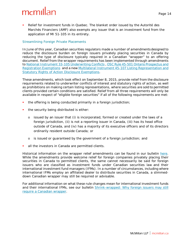Relief for investment funds in Quebec. The blanket order issued by the Autorité des Marchés Financiers (AMF) also exempts any issuer that is an investment fund from the application of MI 51-105 in its entirety.

#### <span id="page-18-0"></span>*Streamlining Foreign Private Placements*

In June of this year, Canadian securities regulators made a number of amendmentsdesigned to reduce the disclosure burden on foreign issuers privately placing securities in Canada by reducing the type of disclosure typically required in a Canadian "wrapper" to an offering document. Relief from the wrapper requirements has been implemented through amendments to [National Instrument 33-105](https://www.bcsc.bc.ca/Securities_Law/Policies/Policy3/Group/?group=33%20105) *Underwriting Conflicts* , OSC Rule 45-501 *[Ontario Prospectus and](http://www.osc.gov.on.ca/en/15146.htm)  [Registration Exemptions](http://www.osc.gov.on.ca/en/15146.htm)* and a new [Multilateral Instrument 45-107](http://www.albertasecurities.com/industry/securities-law-and-policy/_layouts/Regulatory-Instruments/RegulatoryInstrumentDispForm.aspx?List=c425783b%2D0214%2D41e1%2Dbc6a%2D66e6766ff3aa&ID=583&archived=False&Web=729da164%2D5e70%2D47a7%2Dbdea%2D6a26546e92e3) *Listing Representation and [Statutory Rights of Action Disclosure Exemptions](http://www.albertasecurities.com/industry/securities-law-and-policy/_layouts/Regulatory-Instruments/RegulatoryInstrumentDispForm.aspx?List=c425783b%2D0214%2D41e1%2Dbc6a%2D66e6766ff3aa&ID=583&archived=False&Web=729da164%2D5e70%2D47a7%2Dbdea%2D6a26546e92e3)*.

These amendments, which took effect on September 8, 2015, provide relief from the disclosure requirements related to underwriter conflicts of interest and statutory rights of action, as well as prohibitions on making certain listing representations, where securities are sold to permitted clients provided certain conditions are satisfied. Relief from all three requirements will only be available in respect of "eligible foreign securities" if all of the following requirements are met:

- the offering is being conducted primarily in a foreign jurisdiction;
- the security being distributed is either:
	- o issued by an issuer that (i) is incorporated, formed or created under the laws of a foreign jurisdiction, (ii) is not a reporting issuer in Canada, (iii) has its head office outside of Canada, and (iv) has a majority of its executive officers and of its directors ordinarily resident outside Canada; or
	- o is issued or guaranteed by the government of a foreign jurisdiction; and
- all the investors in Canada are permitted clients.

Historical information on the wrapper relief amendments can be found in our bulletin [here.](http://www.mcmillan.ca/the-end-of-the-Canadian-wrapper-requirement-for-private-placements-in-Canada-relief-granted-and-rules-on-the-way-for-foreign-offerings-to-permitted-clients) While the amendments provide welcome relief for foreign companies privately placing their securities in Canada to permitted clients, the same cannot necessarily be said for foreign issuers who are classified as investment funds under Canadian securities law and their international investment fund managers (IFMs). In a number of circumstances, including where international IFMs employ an affiliated dealer to distribute securities in Canada, a slimmeddown Canadian wrapper may still be required or advisable.

For additional information on what these rule changes mean for international investment funds and their international IFMs, see our bulletin [Shrink-wrapped: Why foreign issuers may still](http://www.mcmillan.ca/Shrink-wrapped-Why-foreign-issuers-may-still-require-a-Canadian-wrapper)  [require a Canadian wrapper.](http://www.mcmillan.ca/Shrink-wrapped-Why-foreign-issuers-may-still-require-a-Canadian-wrapper)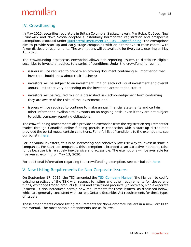### <span id="page-19-0"></span>IV. Crowdfunding

In May 2015, securities regulators in British Columbia, Saskatchewan, Manitoba, Québec, New Brunswick and Nova Scotia adopted substantially harmonized registration and prospectus exemptions proposed under [Multilateral Instrument 45-108 –](http://www.bcsc.bc.ca/News/News_Releases/2015/43_Certain_Canadian_securities_regulators_to_adopt_start-up_crowdfunding_exemptions/) Crowdfunding. The exemptions aim to provide start-up and early stage companies with an alternative to raise capital with fewer disclosure requirements. The exemptions will be available for five years, expiring on May 13, 2020.

The crowdfunding prospectus exemption allows non-reporting issuers to distribute eligible securities to investors, subject to a series of conditions.Under the crowdfunding regime:

- issuers will be required to prepare an offering document containing all information that investors should know about their business;
- investors will be subject to an investment limit on each individual investment and overall annual limits that vary depending on the investor's accreditation status;
- investors will be required to sign a prescribed risk acknowledgement form confirming they are aware of the risks of the investment; and
- issuers will be required to continue to make annual financial statements and certain other information available to investors on an ongoing basis, even if they are not subject to public company reporting obligations.

The crowdfunding amendments also provide an exemption from the registration requirement for trades through Canadian online funding portals in connection with a start-up distribution provided the portal meets certain conditions. For a full list of conditions to the exemptions, see our bulletin [here.](http://www.mcmillan.ca/Certain-Canadian-Securities-Regulators-Adopt-Crowdfunding-Prospectus-Exemption-for-Start-ups)

For individual investors, this is an interesting and relatively low-risk way to invest in startup companies. For start-up companies, this exemption is branded as an attractive method to raise funds because it is relatively inexpensive and accessible. The exemptions will be available for five years, expiring on May 13, 2020.

For additional information regarding the crowdfunding exemption, see our bulletin [here.](http://www.mcmillan.ca/Certain-Canadian-Securities-Regulators-Adopt-Crowdfunding-Prospectus-Exemption-for-Start-ups)

### <span id="page-19-1"></span>V. New Listing Requirements for Non-Corporate Issuers

On September 17, 2015, the TSX amended the [TSX Company Manual](http://tmx.complinet.com/en/tsx_manual.html) (the Manual) to codify existing practices of the TSX with respect to listing and other requirements for closed-end funds, exchange traded products (ETPs) and structured products (collectively, Non-Corporate Issuers). It also introduced certain new requirements for these issuers, as discussed below, which are generally consistent with current Ontario *Securities Act* requirements for these types of issuers.

These amendments create listing requirements for Non-Corporate Issuers in a new Part XI to the Manual. The most notable amendments are as follows: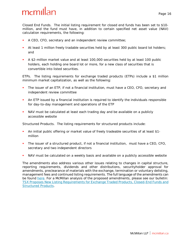*Closed End Funds.* The initial listing requirement for closed end funds has been set to \$10 million, and the fund must have, in addition to certain specified net asset value (NAV) calculation requirements, the following:

- A CEO, CFO, secretary and an independent review committee;
- At least 1 million freely tradable securities held by at least 300 public board lot holders; and
- A \$2-million market value and at least 100,000 securities held by at least 100 public holders, each holding one board lot or more, for a new class of securities that is convertible into listed securities.

*ETPs.* The listing requirements for exchange traded products (ETPs) include a \$1 million minimum market capitalization, as well as the following:

- The issuer of an ETP, if not a financial institution, must have a CEO, CFO, secretary and independent review committee
- An ETP issued by a financial institution is required to identify the individuals responsible for day-to-day management and operations of the ETP
- NAV must be calculated at least each trading day and be available on a publicly accessible website

*Structured Products.* The listing requirements for structured products include:

- An initial public offering or market value of freely tradeable securities of at least \$1 million
- The issuer of a structured product, if not a financial institution, must have a CEO, CFO, secretary and two independent directors
- NAV must be calculated on a weekly basis and available on a publicly accessible website

The amendments also address various other issues relating to changes in capital structure, reporting requirements, dividends and other distributions, securityholder approval for amendments, preclearance of materials with the exchange, termination or voluntary delisting, management fees and continued listing requirements. The full language of the amendments can be found [here.](http://tmx.complinet.com/en/nav/updates.html?rbid=2072) For a McMillan analysis of the proposed amendments, please see our bulletin[:](http://www.mcmillan.ca/TSX-Proposes-New-Listing-Requirements-for-Exchange-Traded-Products-Closed-End-Funds-and-Structured-Products) [TSX Proposes New Listing Requirements for Exchange Traded Products, Closed-End Funds and](http://www.mcmillan.ca/TSX-Proposes-New-Listing-Requirements-for-Exchange-Traded-Products-Closed-End-Funds-and-Structured-Products)  [Structured Products.](http://www.mcmillan.ca/TSX-Proposes-New-Listing-Requirements-for-Exchange-Traded-Products-Closed-End-Funds-and-Structured-Products)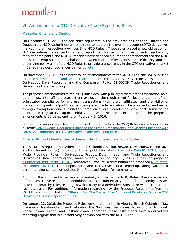### <span id="page-21-0"></span>VI. Amendments to OTC Derivative Trade Reporting Rules

#### <span id="page-21-1"></span>*Manitoba, Ontario and Quebec*

On December 31, 2013, the securities regulators in the provinces of Manitoba, Ontario and Quebec (the MOQ Authorities[\) enacted rules](http://www.osc.gov.on.ca/en/SecuritiesLaw_rule_20131114_91-506_91-507_derivatives.htm) to regulate the over-the-counter (OTC) derivatives market in their respective provinces (the MOQ Rules). These rules placed a new obligation on OTC derivatives market participants to report their transactions. In response to feedback by market participants, the MOQ Authorities have released a number of amendments to the MOQ Rules in attempts to strike a balance between market effectiveness and efficiency and the underlying policy aim of the MOQ Rules to provide transparency in the OTC derivatives market in Canada (as described in our earlier [bulletin\)](http://mcmillan.ca/The-last-word-on-reporting-final-Ontario-rules-with-respect-to-trade-reporting-released).

On November 5, 2015, in the latest round of amendments to the MOQ Rules, the OSC published [a Notice of Amendments and Request for Comment](http://www.osc.gov.on.ca/en/SecuritiesLaw_rule_20151105_91-507_derivatives-data-reporting.htm) on OSC Rule 91-507 *Trade Repositories and Derivatives Data Reporting* and the Companion Policy 91-507CP *Trade Repositories and Derivatives Data Reporting*.

The proposed amendments to the MOQ Rules deal with publicly disseminated transaction-level data, a new inter affiliate transactions exclusion, the requirement for legal entity identifiers, substituted compliance for end-user transactions with foreign affiliates, and the ability of market participants to "port" to a new designated trade repository. The proposed amendments, through exemptions and substituted compliance, are intended to scale back some of the unintended regulatory capture initially imposed. The comment period for the proposed amendments is 90 days, ending on February 3, 2016.

Further information regarding the proposed amendments to the MOQ Rules can be found in our bulletin: [Leak Tweak: Regulators Balance Post-trade Transparency and Market Efficiency with](http://www.mcmillan.ca/Leak-Tweak-Regulators-Balance-Post-trade-Transparency-and-Market-Efficiency-with-Latest-Amendments-to-OTC-Derivative-Trade-Reporting-Rules)  [Latest Amendments to OTC Derivative Trade Reporting Rules.](http://www.mcmillan.ca/Leak-Tweak-Regulators-Balance-Post-trade-Transparency-and-Market-Efficiency-with-Latest-Amendments-to-OTC-Derivative-Trade-Reporting-Rules)

#### <span id="page-21-2"></span>*Alberta, British Columbia, Saskatchewan, New Brunswick and Nova Scotia*

The securities regulators in Alberta, British Columbia, Saskatchewan, New Brunswick and Nova Scotia (the Authorities) followed suit, first publishing [Model Provincial Rule 91-302](https://www.bcsc.bc.ca/Securities_Law/Policies/Policy9/PDF/91-302__Multilateral_CSA_Staff_Notice__June_6__2013/) *Updated Model Provincial Rules – Derivatives: Product Determination and Trade Repositories and Derivatives Data Reporting* and, more recently, on January 22, 2015, publishing proposed [Multilateral Instrument 91-101](https://www.bcsc.bc.ca/Securities_Law/Policies/Policy9/PDF/91-101_and_96-101__CSA_Multilateral_Notice___January_22__2016/) *Derivatives: Product Determination* and proposed [Multilateral](https://www.bcsc.bc.ca/Securities_Law/Policies/Policy9/PDF/91-101_and_96-101__CSA_Multilateral_Notice___January_22__2016/)  [Instrument 96-101](https://www.bcsc.bc.ca/Securities_Law/Policies/Policy9/PDF/91-101_and_96-101__CSA_Multilateral_Notice___January_22__2016/) *Trade Repositories and Derivatives Data Reporting*, along with their accompanying companion policies (the Proposed Rules) for comment.

Although the Proposed Rules are substantially similar to the MOQ Rules, there are several differences. These relate to the definitions of "local counterparty" and "affiliated entity", as well as to the hierarchy rules relating to which party to a derivative transaction will be required to report a trade. For additional information regarding how the Proposed Rules differ from the MOQ Rules, see our bulletin [Different But The Same: Five Additional Provinces Propose OTC](http://www.mcmillan.ca/Different-But-The-Same-Five-Additional-Provinces-Propose-OTC-Derivatives-Trade-Reporting-Rules)  [Derivatives Trade Reporting Rules.](http://www.mcmillan.ca/Different-But-The-Same-Five-Additional-Provinces-Propose-OTC-Derivatives-Trade-Reporting-Rules)

On January 22, 2016, the Proposed Rules were [implemented](http://www.bcsc.bc.ca/News/News_Releases/2015/06_Canadian_Securities_Regulators_implement_derivatives_reporting_rules/) in Alberta, British Columbia, New Brunswick, Newfoundland and Labrador, the Northwest Territories, Nova Scotia, Nunavut, Prince Edward Island, and Saskatchewan. Together, these instruments form a derivatives reporting regime that is substantively harmonized with the MOQ Rules.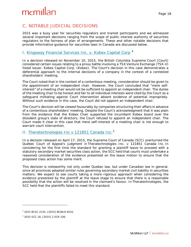## <span id="page-22-0"></span>C. NOTABLE JUDICIAL DECISIONS

2015 was a busy year for securities regulators and market participants and we witnessed several important decisions ranging from the scope of public interest authority of securities regulators to the fairness of plan of arrangements. These and other notable decisions that provide informative guidance for securities laws in Canada are discussed below.

### <span id="page-22-1"></span>I. [Kingsway Financial Services Inc. v. Kobex Capital Corp](https://www.canlii.org/en/bc/bcsc/doc/2015/2015bcsc2155/2015bcsc2155.html?searchUrlHash=AAAAAQAFa29iZXgAAAAAAQ&resultIndex=1)*.* [4](#page-22-3)

In a decision released on November 10, 2015, the British Columbia Supreme Court (Court) considered certain issues relating to a proxy battle involving a TSX Venture Exchange (TSX-V) listed issuer, Kobex Capital Corp. (Kobex). The Court's decision in this case demonstrates a deferential approach to the internal decisions of a company in the context of a contested shareholders' meeting.

The Court noted that in the context of a contentious meeting, consideration should be given to the appointment of an independent chair. However, the Court concluded that "mere selfinterest" of a meeting chair would not be sufficient to appoint an independent chair. The duties of the meeting chair to be honest and fair to all individual interests were cited by the Court as a safeguard militating against Court intervention absent evidence of potential impropriety. Without such evidence in this case, the Court did not appoint an independent chair.

The Court's decision will be viewed favourably by companies structuring their affairs in advance of a contentious shareholders' meeting. Despite the Court's acknowledgment that it was plain from the evidence that the Kobex Chair supported the incumbent Kobex board over the dissident group's slate of directors, the Court refused to appoint an independent chair. The Court made it clear in this case that mere self-interest of a meeting chair is not enough to warrant court intervention.

### <span id="page-22-2"></span>II. Theratechnologies [Inc v 121851 Canada Inc](http://scc-csc.lexum.com/scc-csc/scc-csc/en/item/15290/index.do)*.* [5](#page-22-4)

In a decision released on April 17, 2015, the Supreme Court of Canada (SCC) overturned the Québec Court of Appeal's judgment in *Theratechnologies Inc. v 121851 Canada Inc.* In considering for the first time the standard for granting a plaintiff leave to proceed with a statutory secondary market securities class action, the SCC held that courts must undertake a reasoned consideration of the evidence presented on the leave motion to ensure that the proposed class action has some merit.

This decision is noteworthy not only under Quebec law, but under Canadian law in general, since all provinces adopted similar rules governing secondary market civil liability in securities matters. We expect to see courts taking a more rigorous approach when considering the evidence presented by the plaintiff at the leave stage to ensure that there is a reasonable possibility that the action will be resolved in the claimant's favour. In *Theratechnologies*, the SCC held that the plaintiffs failed to meet this standard.

<span id="page-22-3"></span><sup>4</sup> 2015 BCSC 2155, [2015] BCWLD 8232.

<span id="page-22-4"></span><sup>5</sup> 2015 SCC 18, [2015] 2 SCR 106.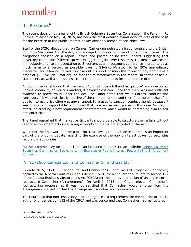### <span id="page-23-0"></span>III. [Re Carnes](http://www.mcmillan.ca/British-Columbia-Securities-Commission-Seeks-to-Limit-Exercise-of-Public-Interest-Power-in-the-Enforcement-Context)<sup>[6](#page-23-2)</sup>

The recent decision by a panel of the British Columbia Securities Commission (the Panel) in *Re Carnes*, released on May 14, 2015, has been the most detailed examination to date of the basis for the exercise of the public interest power absent a breach of securities laws.

Staff of the BCSC alleged that Jon Carnes (Carnes) perpetrated a fraud, contrary to the British Columbia *Securities Act* (the Act) and engaged in conduct contrary to the public interest. The allegations focused on a report Carnes had posted online (the Report) suggesting that Silvercorp Metals Inc. (Silvercorp) was exaggerating its silver resources. The Report was posted immediately prior to a presentation by Silvercorp at an investment conference in order to do as much harm to Silvercorp as possible, causing Silvercorp's stock to fall 20% immediately thereafter and allowing Carnes to close out his short position the following day and make a profit of \$2.8 million. Staff argued that the misstatements in the report—in terms of actual statements as well as omissions—constituted prohibited acts for the purpose of fraud.

Although the Panel found that the Report "did not give a full and fair picture" and questioned Carnes' credibility on various matters, it nevertheless concluded that there was not sufficient evidence to prove fraud under the Act. The Panel noted that while Carnes' conduct was "unsavory," it was not clearly abusive of the capital markets and therefore the exercise of its public interest jurisdiction was unwarranted. It refused to sanction conduct merely because it was "morally unsupportable" and noted that to exercise such power in this case "would, in effect, be creating a new requirement for statements which would be something akin to 'fair presentation.'"

The Panel remarked that market participants should be able to structure their affairs without fear of enforcement actions alleging wrongdoing that is not encoded in the Act.

While not the final word on the public interest power, the decision in *Carnes i*s an important part of the ongoing debate regarding the exercise of the public interest power by securities regulatory authorities.

Further commentary on the decision can be found in the McMillan bulletin: [British Columbia](http://www.mcmillan.ca/Files/181456_BC%20Securities%20Commission%20Seeks%20to%20Limited%20Exercise%20of%20Public%20Interest.pdf)  [Securities Commission Seeks to Limit Exercise of Public Interest Power in the Enforcement](http://www.mcmillan.ca/Files/181456_BC%20Securities%20Commission%20Seeks%20to%20Limited%20Exercise%20of%20Public%20Interest.pdf)  [Context.](http://www.mcmillan.ca/Files/181456_BC%20Securities%20Commission%20Seeks%20to%20Limited%20Exercise%20of%20Public%20Interest.pdf)

### <span id="page-23-1"></span>IV. [9171665 Canada Ltd. and Connacher Oil and Gas Ltd.](https://www.canlii.org/en/ab/abqb/doc/2015/2015abqb633/2015abqb633.html?searchUrlHash=AAAAAQAPOTE3MTY2NSBDYW5hZGEgAAAAAAE&resultIndex=1)<sup>[7](#page-23-3)</sup>

In early 2015, 9171665 Canada Ltd. and Connacher Oil and Gas Ltd. (together Connacher) applied to the Alberta Court of Queen's Bench (Court) for a final order pursuant to section 192 of the *Canada Business Corporations Act* (CBCA) for the approval of a plan of arrangement to restructure Connacher (Arrangement). On April 2, 2015, the Court rejected Connacher's restructuring proposal as it was not satisfied that Connacher would emerge from the Arrangement solvent or that the Arrangement was fair and reasonable.

The Court held that non-insolvency post-emergence is a requirement for the exercise of judicial authority under section 192 of the CBCA and was concerned that Connacher—as restructured—

<span id="page-23-2"></span><sup>6</sup> 2015 BCSECCOM 187.

<span id="page-23-3"></span><sup>7</sup> 2015 ABQB 633, [2016] AWLD 3.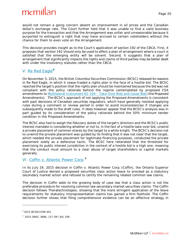would not remain a going concern absent an improvement in oil prices and the Canadian dollar's exchange rate. The Court further held that it was unable to find a valid business purpose for the transaction and that the Arrangement was unfair and unreasonable because it purported to extinguish a right that may have accrued to certain noteholders without the chance for them to even vote on the Arrangement.

This decision provides insight as to the Court's application of section 192 of the CBCA. First, it proposes that section 192 should only be used to affect a plan of arrangement where a court is satisfied that the emerging entity will be solvent. Second, it suggests that a plan of arrangement that significantly impacts the rights and claims of third parties may be better dealt with under the insolvency statutes rather than the CBCA.

### <span id="page-24-0"></span>V. [Re Red Eagle](http://www.bcsc.bc.ca/Enforcement/Decisions/PDF/2015_BCSECCOM_401/)**[8](#page-24-2)**

On November 3, 2015, the British Columbia Securities Commission (BCSC) released its reasons in *Re Red Eagle*, in which it cease-traded a rights plan in the face of a hostile bid. The BCSC rejected the target's position that the rights plan should be maintained because the bid was not compliant with the policy rationale behind the regime contemplated by proposed CSA amendments to [Multilateral Instrument 62-104 –](https://www.bcsc.bc.ca/Securities_Law/Policies/Policy6/PDF/62-104__MI___May5__2015/) Take-Over Bids and Issuer Bids (the Proposed Amendments). The BCSC's approach of not applying the Proposed Amendments is consistent with past decisions of Canadian securities regulators, which have generally resisted applying rules during a comment or review period in order to avoid inconsistencies if changes are subsequently made to the draft rules. It does however appear that the BCSC's analysis was in part guided by its consideration of the policy rationale behind the 50% minimum tender condition in the Proposed Amendments.

The BCSC also had to weigh the fiduciary duties of the target's directors and the BCSC's public interest mandate in considering whether or not to, in the fact of a hostile take-over bid, unwind a private placement of common shares by the target to a white knight. The BCSC's decision not to unwind the private placement was guided by its finding that it was not clear that the target, which needed the private placement for legitimate financing purposes, conducted the private placement solely as a defensive tactic. The BCSC here reiterated that the threshold for exercising its public interest jurisdiction in the context of a hostile bid is a high one, meaning that the conduct must amount to a clear abuse of target shareholders or capital markets generally.

### <span id="page-24-1"></span>VI. [Coffin v. Atlantic Power Corp](http://www.canlii.org/en/on/onsc/doc/2015/2015onsc3686/2015onsc3686.html)*.* [9](#page-24-3)

In its July 24, 2015 decision in *Coffin v. Atlantic Power Corp.* (*Coffin*), the Ontario Superior Court of Justice denied a proposed securities class action leave to proceed as a statutory secondary market action and refused to certify the remaining related common law claims.

The decision in *Coffin* adds to the growing body of case law that a class action is not the preferable procedure for resolving common law secondary market securities claims. The *Coffin*  decision follows *Theratechnologies*, showing that the more stringent application of the leave requirements for statutory misrepresentation claims has gained a firm foothold. The *Coffin*  decision further shows that filing comprehensive evidence can be an effective strategy in

<span id="page-24-2"></span><sup>8</sup> 2015 BCSECCOM 401.

<span id="page-24-3"></span><sup>9</sup> 2015 ONSC 3686, 127 OR (3d) 199.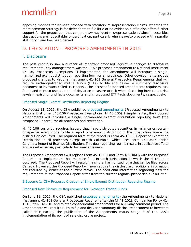opposing motions for leave to proceed with statutory misrepresentation claims, whereas the more common strategy is for defendants to file little or no evidence. *Coffin* also offers further support for the proposition that common law negligent misrepresentation claims in securities class actions are not suitable for certification, particularly when leave to proceed with a parallel statutory claim has been denied.

### <span id="page-25-0"></span>D. LEGISLATION – PROPOSED AMENDMENTS IN 2015

### <span id="page-25-1"></span>I. Disclosure

The past year also saw a number of important proposed legislative changes to disclosure requirements. Key amongst them was the CSA's proposed amendment to National Instrument 45-106 *Prospectus Exemptions.* If implemented, the amendment will introduce a single, harmonized exempt distribution reporting form for all provinces. Other developments include proposed changes to National Instrument 41-101 *General Prospectus Requirements* that will require exchange-traded mutual funds (ETFs) to file and deliver a summary disclosure document to investors called "ETF Facts". The last set of proposed amendments require mutual funds and ETFs to use a standard deviation measure of risk when disclosing investment risk levels in existing fund facts documents and in proposed ETF Facts documents, respectively.

#### <span id="page-25-2"></span>*Proposed Single Exempt Distribution Reporting Regime*

On August 13, 2015, the CSA published [proposed amendments](http://www.osc.gov.on.ca/en/SecuritiesLaw_rule_20150813_45-106_reports-exempt-distribution.htm) (Proposed Amendments) to National Instrument 45-106 *Prospectus Exemptions* (NI 45-106). If implemented, the Proposed Amendments will introduce a single, harmonized exempt distribution reporting form (the "Proposed Report") for all provinces and territories.

NI 45-106 currently requires issuers that have distributed securities in reliance on certain prospectus exemptions to file a report of exempt distribution in the jurisdiction where the distribution occurred. The required form of the report is Form 45-106F1 *Report of Exemption Distribution i*n all provinces except British Columbia, which uses Form 45-106F6 *British Columbia Report of Exempt Distribution*. This dual reporting regime results in duplicative efforts and added expense, particularly for smaller issuers.

The Proposed Amendments will replace Form 45-106F1 and Form 45-106F6 with the Proposed Report − a single report that must be filed in each jurisdiction in which the distribution occurred. The Proposed Report will result in a single, harmonized form that can be filed across Canada. However, the Proposed Report will now require the disclosure of additional information not required by either of the current forms. For additional information regarding how the requirements of the Proposed Report differ from the current regime, please see our bulletin:

[2 Become 1: CSA Proposes Creation of Single Exempt Distribution Reporting Regime](http://www.mcmillan.ca/2-Become-1-CSA-Proposes-Creation-of-Single-Exempt-Distribution-Reporting-Regime)

#### <span id="page-25-3"></span>*Proposed New Disclosure Requirement for Exchange Traded Funds*

On June 18, 2015, the CSA published [proposed amendments](http://www.osc.gov.on.ca/en/SecuritiesLaw_csa_20150618_41-101_rfc-amd-general-prospectus.htm) (the Amendments) to National Instrument 41-101 *General Prospectus Requirements* (the NI 41-101), Companion Policy 41- 101CP to NI 41-101 and related consequential amendments for a 90-day comment period. The Amendments will require ETFs to file and deliver a summary disclosure document to investors called "ETF Facts". The publication of the Amendments marks Stage 3 of the CSA's implementation of its point of sale disclosure project.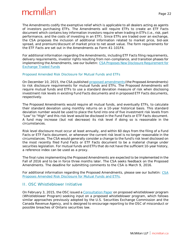The Amendments codify the exemptive relief which is applicable to all dealers acting as agents of investors purchasing ETFs. The Amendments will require ETFs to create an ETF Facts document which contains key information investors require when trading in ETFs (i.e., risk, part performance, and the costs of investing in an ETF). Since ETFs are traded over an exchange, the CSA proposes the inclusion of additional information related to market price, bid-ask spread, and premium/discount of market price to net asset value. The form requirements for the ETF Facts are set out in the Amendments as Form 41-101F4.

For additional information regarding the Amendments, including ETF Facts filing requirements, delivery requirements, investor rights resulting from non-compliance, and transition phases for implementing the Amendments, see our bulletin[: CSA Proposes New Disclosure Requirement for](http://www.mcmillan.ca/CSA-Proposes-New-Disclosure-Requirement-for-Exchange-Traded-Funds)  [Exchange Traded Funds](http://www.mcmillan.ca/CSA-Proposes-New-Disclosure-Requirement-for-Exchange-Traded-Funds)

#### <span id="page-26-0"></span>*Proposed Amended Risk Disclosure for Mutual Funds and ETFs*

On December 10, 2015, the CSA publishe[d proposed amendments](http://www.osc.gov.on.ca/en/SecuritiesLaw_ni_20151210_81-102_mutual-fund-risk-classification-methodology.htm)(the Proposed Amendments) to risk disclosure requirements for mutual funds and ETFs. The Proposed Amendments will require mutual funds and ETFs to use a standard deviation measure of risk when disclosing investment risk levels in existing Fund Facts documents and in proposed ETF Facts documents, respectively.

The Proposed Amendments would require all mutual funds, and eventually ETFs, to calculate their standard deviation using monthly returns on a 10-year historical basis. This standard deviation number would be used to place the fund into one of five investment risk levels from "Low" to "High" and this risk level would be disclosed in the Fund Facts or ETF Facts document. A fund may increase (but not decrease) its risk level if doing so is reasonable in the circumstances.

Risk level disclosure must occur at least annually, and within 60 days from the filing of a Fund Facts or ETF Facts document, or whenever the current risk level is no longer reasonable in the circumstances. The CSA would generally consider a change to the fund's risk level disclosed on the most recently filed Fund Facts or ETF Facts document to be a material change under securities legislation. For mutual funds and ETFs that do not have the sufficient 10-year history, a reference index can be used as a proxy.

The final rules implementing the Proposed Amendments are expected to be implemented in the Fall of 2016 and to be in force three months later. The CSA seeks feedback on the Proposed Amendments. The deadline for submitting comments to the CSA is March 9, 2016.

For additional information regarding the Proposed Amendments, please see our bulletin: [CSA](http://www.mcmillan.ca/CSA-Proposes-Amended-Risk-Disclosure-for-Mutual-Funds-and-ETFs)  [Proposes Amended Risk Disclosure for Mutual Funds and ETFs.](http://www.mcmillan.ca/CSA-Proposes-Amended-Risk-Disclosure-for-Mutual-Funds-and-ETFs)

### <span id="page-26-1"></span>II. OSC Whistleblower Initiative

On February 3, 2015, the OSC issued [a Consultation Paper](http://www.osc.gov.on.ca/en/SecuritiesLaw_rule_20150203_15-401_whistleblower-program.htm) on proposed whistleblower program (Whistleblower Program) seeking input on a proposed whistleblower program, which follows similar approaches previously adopted by the U.S. Securities Exchange Commission and the Canada Revenue Agency, and is designed to encourage reporting to the OSC of misconduct or possible breaches of Ontario securities law.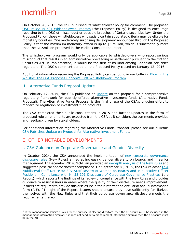On October 28, 2015, the OSC published its whistleblower policy for comment. The proposed [OSC Policy 15-601 Whistleblower Program](http://www.osc.gov.on.ca/en/49777.htm) (the Proposed Policy) is designed to encourage reporting to the OSC of misconduct or possible breaches of Ontario securities law. Under the Proposed Policy, those whistleblowers who satisfy certain stipulated criteria may be eligible for monetary bounties. One moderately surprising development announced through the Proposed Policy is that the maximum monetary award is up to \$5 million, which is substantially more than the \$1.5million proposed in the earlier Consultation Paper.

The whistleblower program would only be applicable to whistleblowers who report serious misconduct that results in an administrative proceeding or settlement pursuant to the Ontario *Securities Act*. If implemented, it would be the first of its kind among Canadian securities regulators. The OSC's comment period on the Proposed Policy closed on January 12, 2016.

Additional information regarding the Proposed Policy can be found in our bulletin: Blowing the [Whistle: The OSC Proposes Canada's First Whistleblower Program.](http://www.mcmillan.ca/Blowing-the-Whistle-The-OSC-Proposes-Canadas-First-Whistleblower-Program)

### <span id="page-27-0"></span>III. Alternative Funds Proposal Update

On February 12, 2015, the CSA published an [update](http://www.osc.gov.on.ca/en/SecuritiesLaw_csa_20150212_81-326_alternative-funds.htm) on the proposal for a comprehensive regulatory framework for publicly offered alternative investment funds (Alternative Funds Proposal). The Alternative Funds Proposal is the final phase of the CSA's ongoing effort to modernize regulation of investment fund products.

The CSA completed their public consultations in 2015 and further updates in the form of proposed rule amendments are expected from the CSA as it considers the comments provided and feedback given by stakeholders.

For additional information regarding the Alternative Funds Proposal, please see our bulletin: [CSA Publishes Update on Proposal for Alternative Investment Funds.](http://www.mcmillan.ca/CSA-Publishes-Update-on-Proposal-for-Alternative-Investment-Funds)

### <span id="page-27-1"></span>E. OTHER NOTABLE DEVELOPMENTS

l

### <span id="page-27-2"></span>I. CSA Guidance on Corporate Governance and Gender Diversity

In October 2014, the CSA announced the implementation of [new corporate governance](http://mcmillan.ca/New-Disclosure-Rules-for-Women-on-Boards-for-the-2015-Proxy-Season)  [disclosure rules](http://mcmillan.ca/New-Disclosure-Rules-for-Women-on-Boards-for-the-2015-Proxy-Season) (New Rules) aimed at increasing gender diversity on boards and in senior management. In December 2014, McMillan provided an [in-depth analysis of the New Rules](http://www.mcmillan.ca/Files/178058_New%20Gender%20Diversity%20and%20Board%20Renewal%20Disclosure%20Rules.pdf) and suggested possible approaches for compliance. On September 28, 2015, the CSA release[d CSA](https://www.osc.gov.on.ca/en/SecuritiesLaw_csa_20150928_58-307_staff-review-women-boards.htm)  [Multilateral Staff Notice 58-307 Staff Review of Women on Boards and in Executive Officer](https://www.osc.gov.on.ca/en/SecuritiesLaw_csa_20150928_58-307_staff-review-women-boards.htm)  Positions – [Compliance with NI 58-101 Disclosure of Corporate Governance Practices](https://www.osc.gov.on.ca/en/SecuritiesLaw_csa_20150928_58-307_staff-review-women-boards.htm) (the Report), which reports the findings of its review of compliance with the New Rules and provides guidance to assist issuers in areas where the quality of their disclosure needs improvement. Issuers are required to provide this disclosure in their information circular or annual information form (AIF).<sup>[10](#page-27-3)</sup> In light of the Report, issuers should ensure they have sufficiently familiarized themselves with the New Rules and that their corporate governance disclosure meets the requirements thereof.

<span id="page-27-3"></span> $10$  If the management solicits proxies for the purpose of electing directors, then the disclosure must be included in the management information circular; if it does not send out a management information circular then the disclosure must be in the AIF.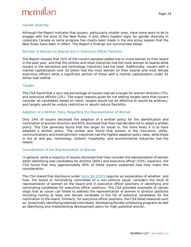## mcmill

#### <span id="page-28-0"></span>*Gender Diversity*

Although the Report indicates that issuers, particularly smaller ones, have some work to do to engage with the aims of the New Rules, it also offers hopeful signs for gender diversity in corporate Canada as some progress has clearly been made in the one proxy season that the New Rules have been in effect. The Report's findings are summarized below.

#### <span id="page-28-1"></span>*Number of Women on Boards and in Executive Officer Positions*

The Report reveals that 15% of the issuers sampled added one or more women to their board in the past year, and that the utilities and retail industries had the most women on boards while issuers in the extractive and technology industries had the least. Additionally, issuers with a market capitalization over \$2 billion had the most women on their boards and most female executive officers while a significant portion of those with a market capitalization under \$1 billion had neither.

#### <span id="page-28-2"></span>*Targets*

The CSA found that a very low percentage of issuers had set a target for women directors (7%) and executive officers (2%). The major reasons given for not setting targets were that issuers consider all candidates based on merit, targets would not be effective or would be arbitrary, and targets would be unduly restrictive or would reduce flexibility.

#### <span id="page-28-3"></span>*Adoption of a Written Policy Regarding the Representation of Women*

Only 14% of issuers disclosed the adoption of a written policy for the identification and nomination of women directors and 65% disclosed that they had decided not to adopt a written policy. The CSA generally found that the larger an issuer is, the more likely it is to have adopted a written policy. The review also found that issuers in the insurance, utility, communications and entertainment industries had the highest adoption policy rates, while those in the oil and gas, technology, biotech, hospitality, and environmental industries had the lowest.

#### <span id="page-28-4"></span>*Consideration of the Representation of Women*

In general, while a majority of issuers disclosed that they consider the representation of women when identifying new candidates for director (60%) and executive officer (53%) positions, the CSA found that only approximately 40% of these issuers explained how they make this consideration.

The CSA stated that disclosure under [Form 58-101F1](http://www.osc.gov.on.ca/en/14198.htm) requires an explanation of whether, and how, the board or nominating committee of a non-venture issuer considers the level of representation of women on the board and in executive officer positions in identifying and nominating candidates for executive officer positions. The CSA provided examples of certain steps that an issuer can follow to address the representation of women in director positions including having at least one female candidate in the list of potential candidates for the nomination to the board. Similarly, for executive officer positions, the CSA listed measures such as: proactively identifying talented individuals, developing flexible scheduling programs as well as identifying and implementing development plans for high-potential women.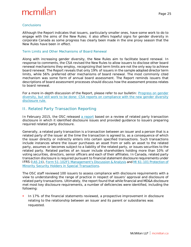## $m$ <sub>c</sub> $m$ ıll

#### <span id="page-29-0"></span>*Conclusions*

Although the Report indicates that issuers, particularly smaller ones, have some work to do to engage with the aims of the New Rules; it also offers hopeful signs for gender diversity in corporate Canada as some progress has clearly been made in the one proxy season that the New Rules have been in effect.

#### <span id="page-29-1"></span>*Term Limits and Other Mechanisms of Board Renewal*

Along with increasing gender diversity, the New Rules aim to facilitate board renewal. In response to comments, the CSA revised the New Rules to allow issuers to disclose other board renewal mechanisms they employ, recognizing that term limits are not the only way to achieve board renewal. The Report reveals that only 19% of issuers in the sample adopted director term limits, while 56% preferred other mechanisms of board renewal. The most commonly cited mechanism was some form of annual board assessment. The Report reminds issuers that descriptions of board assessment processes should discuss how the assessment process relates to board renewal.

For a more in-depth discussion of the Report, please refer to our bulletin: Progress on gender [diversity, but still work to be done: CSA reports on compliance with the new gender diversity](http://www.mcmillan.ca/Progress-on-gender-diversity-but-still-work-to-be-done-CSA-reports-on-compliance-with-the-new-gender-diversity-disclosure-rules)  [disclosure rule.](http://www.mcmillan.ca/Progress-on-gender-diversity-but-still-work-to-be-done-CSA-reports-on-compliance-with-the-new-gender-diversity-disclosure-rules)

### <span id="page-29-2"></span>II. Related Party Transaction Reporting

In February 2015, the OSC released [a report](http://www.osc.gov.on.ca/en/SecuritiesLaw_sn_20150129_51-723_transaction-disclosure.htm) based on a review of related party transaction disclosure in which it identified disclosure issues and provided guidance to issuers preparing required related party disclosure.

Generally, a related party transaction is a transaction between an issuer and a person that is a related party of the issuer at the time the transaction is agreed to, as a consequence of which the issuer directly or indirectly enters into certain specified transactions. Such transactions include instances where the issuer purchases an asset from or sells an asset to the related party, assumes or becomes subject to a liability of the related party, or issues securities to the related party. Related parties of an issuer include shareholders holding more than 10% of voting securities, directors, senior officers and each of their affiliates. In Canada, related party transaction disclosure is required pursuant to financial statement disclosure requirements under IFRS [\(IAS](http://www.ifrs.org/Documents/IAS24.pdf) 24), Form 51-102F1 [Management's Discussion &](http://www.albertasecurities.com/Regulatory%20Instruments/3665185-v1%2051-102f1%20post%20IFRS%20consolidation.pdf) Analysis and MI 61-101 [Protection of](http://www.osc.gov.on.ca/en/13230.htm)  Minority [Security Holders in Special Transactions.](http://www.osc.gov.on.ca/en/13230.htm)

The OSC staff reviewed 100 issuers to assess compliance with disclosure requirements with a view to understanding the range of practice in respect of issuers' approval and disclosure of related party transactions. Ultimately, the report found that while financial and MD&A disclosure met most key disclosure requirements, a number of deficiencies were identified, including the following:

 In 17% of the financial statements reviewed, a prospective improvement in disclosure relating to the relationship between an issuer and its parent or subsidiaries was requested.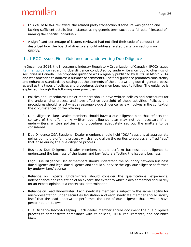- In 47% of MD&A reviewed, the related party transaction disclosure was generic and lacking sufficient details (for instance, using generic term such as a "director" instead of naming the specific individual).
- A significant percentage of issuers reviewed had not filed their code of conduct that described how the board of directors should address related party transactions on SEDAR.

### <span id="page-30-0"></span>III. IIROC Issues Final Guidance on Underwriting Due Diligence

In December 2014, the Investment Industry Regulatory Organization of Canada (IIROC) issued [its final guidance](http://www.iiroc.ca/Documents/2014/f34043d2-b806-447e-a115-1f53c387c1a7_en.pdf) regarding due diligence conducted by underwriters on public offerings of securities in Canada. The proposed guidance was originally published by IIROC in March 2014 and was amended to address a number of comments. The final guidance promotes consistency and enhanced standards by setting out the elements of the underwriting due diligence process as well as the types of policies and procedures dealer members need to follow. The guidance is explained through the following nine principles:

- 1. *Policies and Procedures*: Dealer members should have written policies and procedures for the underwriting process and have effective oversight of these activities. Policies and procedures should reflect what a reasonable due diligence review involves in the context of the circumstances of the offering.
- 2. *Due Diligence Plan*: Dealer members should have a due diligence plan that reflects the context of the offering. A written due diligence plan may not be necessary if an underwriter's written policies and procedures adequately set out the matters to be considered.
- 3. *Due Diligence Q&A Sessions*: Dealer members should hold "Q&A" sessions at appropriate points during the offering process which should allow the parties to address any "red flags" that arise during the due diligence process.
- 4. *Business Due Diligence*: Dealer members should perform business due diligence to understand the business of the issuer and key factors affecting the issuer's business.
- 5. *Legal Due Diligence*: Dealer members should understand the boundary between business due diligence and legal due diligence and should supervise the legal due diligence performed by underwriters' counsel.
- 6. *Reliance on Experts*: Underwriters should consider the qualifications, experience, independence and reputation of an expert; the extent to which a dealer member should rely on an expert opinion is a contextual determination.
- 7. *Reliance on Lead Underwriter*: Each syndicate member is subject to the same liability for misrepresentation under securities legislation and each syndicate member should satisfy itself that the lead underwriter performed the kind of due diligence that it would have performed on its own.
- 8. *Due Diligence Record-Keeping:* Each dealer member should document the due diligence process to demonstrate compliance with its policies, IIROC requirements, and securities laws.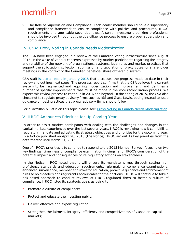9. *The Role of Supervision and Compliance*: Each dealer member should have a supervisory and compliance framework to ensure compliance with policies and procedures, IIROC requirements and applicable securities laws. A senior investment banking professional should be involved throughout the due diligence process to ensure proper supervision and compliance.

### <span id="page-31-0"></span>IV. CSA: Proxy Voting in Canada Needs Modernization

The CSA have been engaged in a review of the Canadian voting infrastructure since August 2013, in the wake of various concerns expressed by market participants regarding the integrity and reliability of the network of organizations, systems, legal rules and market practices that support the solicitation, collection, submission and tabulation of proxy votes for shareholder meetings in the context of the Canadian beneficial share ownership system.

CSA staff [issued a report in January 2015](https://www.osc.gov.on.ca/documents/en/Securities-Category5/csa_20150129_54-303_progress-report.pdf) that discusses the progress made to date in their review and outlines next steps. The progress report confirms that the CSA believes the current system to be fragmented and requiring modernization and improvement, and identifies a number of specific improvements that must be made in the vote reconciliation process. We expect this review process to continue in 2016 and beyond. In the spring of 2015, the CSA also chose not to regulate proxy advisory firms such as ISS and Glass Lewis, opting instead to issue guidance on best practices that proxy advisory firms should follow.

For a McMillan bulletin on this topic please see: [Proxy Voting in Canada Needs Modernization.](http://www.mcmillan.ca/Proxy-Voting-in-Canada-Needs-Modernization)

### <span id="page-31-1"></span>V. IIROC Announces Priorities for Up Coming Year

In order to assist market participants with dealing with the challenges and changes in the capital markets experienced over the last several years, IIROC is reviewing how it can fulfill its regulatory mandate and adjusting its strategic objectives and priorities for the upcoming year. In a Notice published on April 28, 2015 (the Notice) IIROC set out its key priorities from the date thereof until March 31, 2016.

One of IIROC's priorities is to continue to respond to the 2013 Member Survey, focusing on two key findings: timeliness of compliance examination findings, and IIROC's consideration of the potential impact and consequences of its regulatory actions on stakeholders.

In the Notice, IIROC noted that it will ensure its mandate is met through setting high proficiency standards and education requirements, rule-making, compliance examinations, enhanced surveillance, member and investor education, proactive guidance and enforcement of rules to hold dealers and registrants accountable for their actions. IIROC will continue to take a risk-based approach to conduct reviews of IIROC-regulated firms to foster a culture of compliance. IIROC listed its strategic goals as being to:

- Promote a culture of compliance;
- Protect and educate the investing public;
- Deliver effective and expert regulation;
- Strengthen the fairness, integrity, efficiency and competitiveness of Canadian capital markets;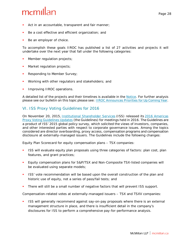- Act in an accountable, transparent and fair manner;
- Be a cost effective and efficient organization; and
- Be an employer of choice.

To accomplish these goals IIROC has published a list of 27 activities and projects it will undertake over the next year that fall under the following categories:

- Member regulation projects;
- Market regulation projects;
- Responding to Member Survey;
- Working with other regulators and stakeholders; and
- Improving IIROC operations.

A detailed list of the projects and their timelines is available in the [Notice.](http://www.iiroc.ca/Documents/2015/c3992f17-cbd2-4ac6-be4f-189dd1a93142_en.pdf) For further analysis please see our bulletin on this topic please see[: IIROC Announces Priorities for Up Coming Year.](http://www.mcmillan.ca/IIROC-Announces-Priorities-for-Up-Coming-Year)

### <span id="page-32-0"></span>VI. ISS Proxy Voting Guidelines for 2016

On November 20, 2015, [Institutional Shareholder Services](http://www.issgovernance.com/) (ISS) released its [2016 Americas](http://www.issgovernance.com/file/policy/2016-americas-policy-updates.pdf)  [Proxy Voting Guidelines Updates](http://www.issgovernance.com/file/policy/2016-americas-policy-updates.pdf) (the Guidelines) for meetings held in 2016. The Guidelines are a product of ISS' 2015 global policy survey, which solicited the views of investors, companies, and other interested parties with respect to corporate governance issues. Among the topics considered are director overboarding, proxy access, compensation programs and compensation disclosure at externally-managed issuers. The Guidelines include the following changes:

*Equity Plan Scorecard for equity compensation plans – TSX companies:*

- ISS will evaluate equity plan proposals using three categories of factors: plan cost, plan features, and grant practices;
- Equity compensation plans for S&P/TSX and Non-Composite TSX-listed companies will be evaluated using separate models;
- ISS' vote recommendation will be based upon the overall construction of the plan and historic use of equity, not a series of pass/fail tests; and
- There will still be a small number of negative factors that will prevent ISS support.

*Compensation-related votes at externally-managed issuers – TSX and TSXV companies:*

 ISS will generally recommend against say-on-pay proposals where there is an external management structure in place, and there is insufficient detail in the company's disclosures for ISS to perform a comprehensive pay-for-performance analysis.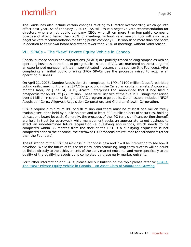The Guidelines also include certain changes relating to Director overboarding which go into effect next year. As of February 1, 2017, ISS will issue a negative vote recommendation for directors who are not public company CEOs who sit on more than four public company boards *and* attend fewer than 75% of meetings without valid reason. ISS will also issue negative vote recommendation for sitting public company CEOs who sit on more than one board in addition to their own board *and* attend fewer than 75% of meetings without valid reason.

### <span id="page-33-0"></span>VII. SPACs – The "New" Private Equity Vehicle in Canada

Special purpose acquisition corporations (SPACs) are publicly-traded holding companies with no operating business at the time of going public. Instead, SPACs are marketed on the strength of an experienced management team, sophisticated investors and a sponsor (the Founders). After completing an initial public offering (IPO) SPACs use the proceeds raised to acquire an operating business.

On April 21, 2015, Dundee Acquisition Ltd. completed its IPO of \$100 million Class A restricted voting units, making it the first SPAC to go public in the Canadian capital markets. A couple of months later, on June 24, 2015, Acasta Enterprises Inc. announced that it had filed a prospectus for an IPO of \$275 million. These were just two of the five TSX listings that raised over \$1 billion in capital utilizing the SPAC program to go public. Other issuers included INFOR Acquisition Corp., Alignvest Acquisition Corporation, and Gibraltar Growth Corporation.

SPACs require a minimum IPO of \$30 million and there must be at least one million freely tradable securities held by public holders and at least 300 public holders of securities, holding at least one board lot each. Generally, the proceeds of the IPO (or a significant portion thereof) are held in trust (or escrowed) while management seeks an appropriate target business to effect an undetermined future acquisition (a qualifying acquisition), which needs to be completed within 36 months from the date of the IPO. If a qualifying acquisition is not completed prior to the deadline, the escrowed IPO proceeds are returned to shareholders (other than the Founders).

The utilization of the SPAC asset class in Canada is new and it will be interesting to see how it develops. While the future of this asset class looks promising, long-term success will no doubt be linked directly to the achievements of the early market entrants, and more specifically to the quality of the qualifying acquisitions completed by these early market entrants.

For further information on SPACs, please see our bulletin on the topic please refer to: [SPACs,](http://www.mcmillan.ca/SPACs-The-New-Private-Equity-Vehicle-in-Canada--An-Asset-Class-of-800M-and-Growing)  [The "New" Private Equity Vehicle in Canada –](http://www.mcmillan.ca/SPACs-The-New-Private-Equity-Vehicle-in-Canada--An-Asset-Class-of-800M-and-Growing) An Asset Class of \$800M and Growing.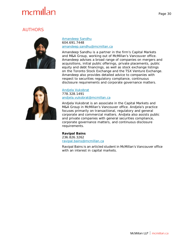## <span id="page-34-0"></span>AUTHORS



[Amandeep Sandhu](http://www.mcmillan.ca/AmandeepSandhu) 604.691.7448 [amandeep.sandhu@mcmillan.ca](mailto:amandeep.sandhu@mcmillan.ca)

Amandeep Sandhu is a partner in the firm's Capital Markets and M&A Group, working out of McMillan's Vancouver office. Amandeep advises a broad range of companies on mergers and acquisitions, initial public offerings, private placements, public equity and debt financings, as well as stock exchange listings on the Toronto Stock Exchange and the TSX Venture Exchange. Amandeep also provides detailed advice to companies with respect to securities regulatory compliance, continuous disclosure requirements and corporate governance matters.



[Andjela Vukobrat](http://www.mcmillan.ca/AndjelaVukobrat) 778.328.1491 [andjela.vukobrat@mcmillan.ca](mailto:andjela.vukobrat@mcmillan.ca)

Andjela Vukobrat is an associate in the Capital Markets and M&A Group in McMillan's Vancouver office. Andjela's practice focuses primarily on transactional, regulatory and general corporate and commercial matters. Andjela also assists public and private companies with general securities compliance, corporate governance matters, and continuous disclosure requirements.

#### **Ravipal Bains**

236.826.3262 [ravipal.bains@mcmillan.ca](mailto:ravipal.bains@mcmillan.ca)

Ravipal Bains is an articled student in McMillan's Vancouver office with an interest in capital markets.